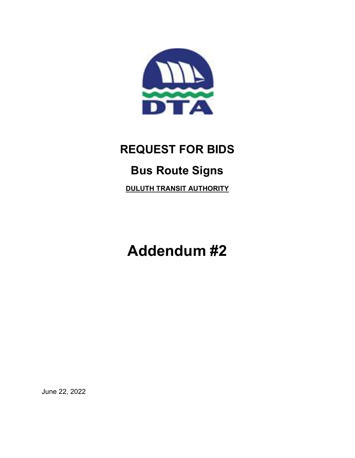

## REQUEST FOR BIDS Bus Route Signs DULUTH TRANSIT AUTHORITY

Addendum #2

June 22, 2022